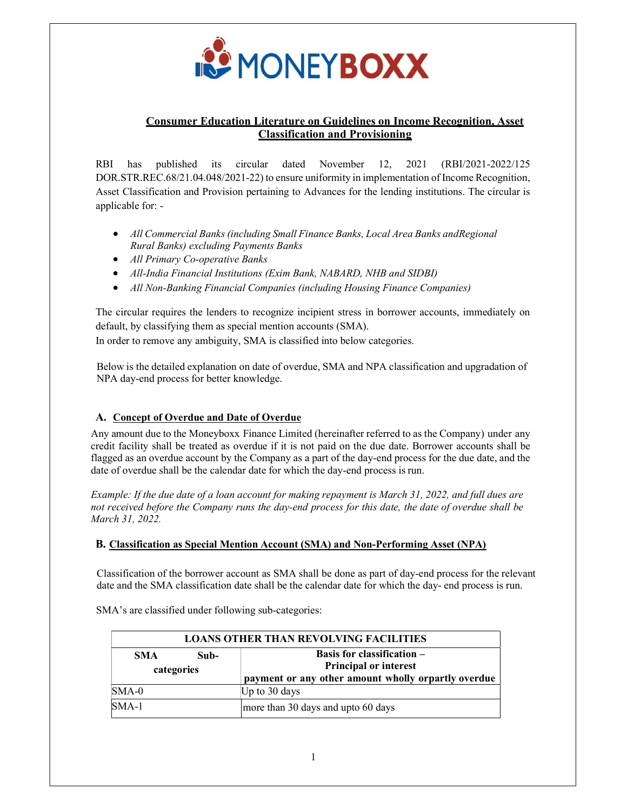

# Consumer Education Literature on Guidelines on Income Recognition, Asset Classification and Provisioning

RBI has published its circular dated November 12, 2021 (RBI/2021-2022/125 DOR.STR.REC.68/21.04.048/2021-22) to ensure uniformity in implementation of Income Recognition, Asset Classification and Provision pertaining to Advances for the lending institutions. The circular is applicable for: -

- All Commercial Banks (including Small Finance Banks, Local Area Banks and Regional Rural Banks) excluding Payments Banks
- All Primary Co-operative Banks
- All-India Financial Institutions (Exim Bank, NABARD, NHB and SIDBI)
- All Non-Banking Financial Companies (including Housing Finance Companies)

The circular requires the lenders to recognize incipient stress in borrower accounts, immediately on default, by classifying them as special mention accounts (SMA). In order to remove any ambiguity, SMA is classified into below categories.

Below is the detailed explanation on date of overdue, SMA and NPA classification and upgradation of NPA day-end process for better knowledge.

## A. Concept of Overdue and Date of Overdue

Any amount due to the Moneyboxx Finance Limited (hereinafter referred to as the Company) under any credit facility shall be treated as overdue if it is not paid on the due date. Borrower accounts shall be flagged as an overdue account by the Company as a part of the day-end process for the due date, and the date of overdue shall be the calendar date for which the day-end process is run.

Example: If the due date of a loan account for making repayment is March 31, 2022, and full dues are not received before the Company runs the day-end process for this date, the date of overdue shall be March 31, 2022.

### B. Classification as Special Mention Account (SMA) and Non-Performing Asset (NPA)

Classification of the borrower account as SMA shall be done as part of day-end process for the relevant date and the SMA classification date shall be the calendar date for which the day- end process is run.

| <b>LOANS OTHER THAN REVOLVING FACILITIES</b> |                    |                                                                                                                          |
|----------------------------------------------|--------------------|--------------------------------------------------------------------------------------------------------------------------|
| <b>SMA</b>                                   | Sub-<br>categories | <b>Basis for classification –</b><br><b>Principal or interest</b><br>payment or any other amount wholly orpartly overdue |
| $SMA-0$                                      |                    | Up to $30$ days                                                                                                          |
| $SMA-1$                                      |                    | more than 30 days and upto 60 days                                                                                       |

SMA's are classified under following sub-categories: